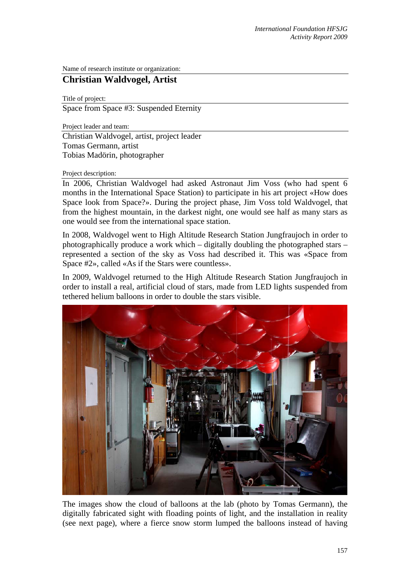Name of research institute or organization:

## **Christian Waldvogel, Artist**

Title of project: Space from Space #3: Suspended Eternity

Project leader and team: Christian Waldvogel, artist, project leader Tomas Germann, artist Tobias Madörin, photographer

## Project description:

In 2006, Christian Waldvogel had asked Astronaut Jim Voss (who had spent 6 months in the International Space Station) to participate in his art project «How does Space look from Space?». During the project phase, Jim Voss told Waldvogel, that from the highest mountain, in the darkest night, one would see half as many stars as one would see from the international space station.

In 2008, Waldvogel went to High Altitude Research Station Jungfraujoch in order to photographically produce a work which – digitally doubling the photographed stars – represented a section of the sky as Voss had described it. This was «Space from Space #2», called «As if the Stars were countless».

In 2009, Waldvogel returned to the High Altitude Research Station Jungfraujoch in order to install a real, artificial cloud of stars, made from LED lights suspended from tethered helium balloons in order to double the stars visible.



The images show the cloud of balloons at the lab (photo by Tomas Germann), the digitally fabricated sight with floading points of light, and the installation in reality (see next page), where a fierce snow storm lumped the balloons instead of having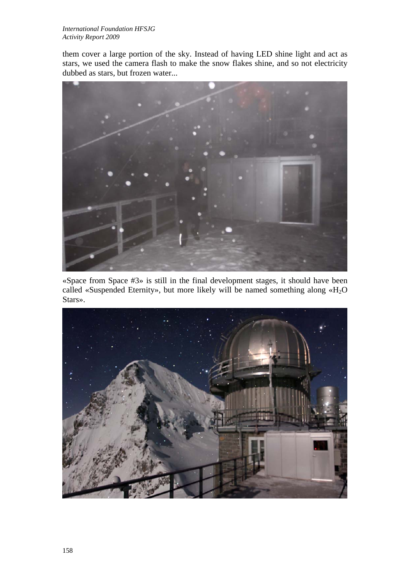them cover a large portion of the sky. Instead of having LED shine light and act as stars, we used the camera flash to make the snow flakes shine, and so not electricity dubbed as stars, but frozen water...



«Space from Space #3» is still in the final development stages, it should have been called «Suspended Eternity», but more likely will be named something along  $*H_2O$ Stars».

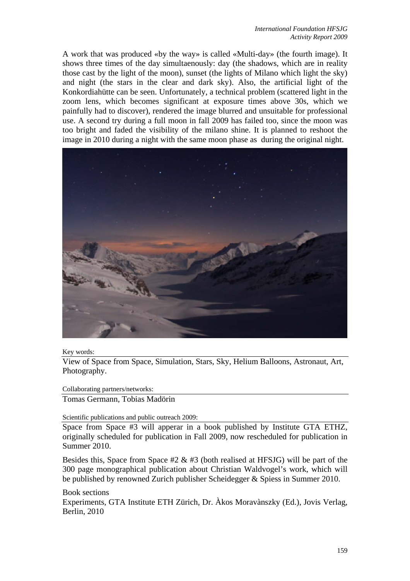A work that was produced «by the way» is called «Multi-day» (the fourth image). It shows three times of the day simultaenously: day (the shadows, which are in reality those cast by the light of the moon), sunset (the lights of Milano which light the sky) and night (the stars in the clear and dark sky). Also, the artificial light of the Konkordiahütte can be seen. Unfortunately, a technical problem (scattered light in the zoom lens, which becomes significant at exposure times above 30s, which we painfully had to discover), rendered the image blurred and unsuitable for professional use. A second try during a full moon in fall 2009 has failed too, since the moon was too bright and faded the visibility of the milano shine. It is planned to reshoot the image in 2010 during a night with the same moon phase as during the original night.



Key words:

View of Space from Space, Simulation, Stars, Sky, Helium Balloons, Astronaut, Art, Photography.

Collaborating partners/networks:

Tomas Germann, Tobias Madörin

Scientific publications and public outreach 2009:

Space from Space #3 will apperar in a book published by Institute GTA ETHZ, originally scheduled for publication in Fall 2009, now rescheduled for publication in Summer 2010.

Besides this, Space from Space  $#2 \& #3$  (both realised at HFSJG) will be part of the 300 page monographical publication about Christian Waldvogel's work, which will be published by renowned Zurich publisher Scheidegger & Spiess in Summer 2010.

Book sections

Experiments, GTA Institute ETH Zürich, Dr. Àkos Moravànszky (Ed.), Jovis Verlag, Berlin, 2010